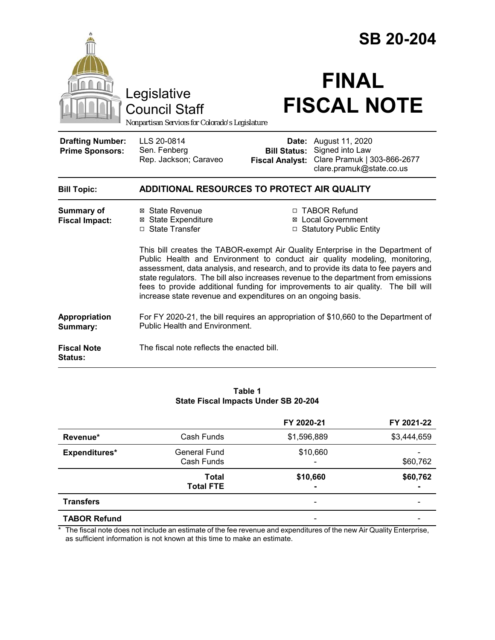|                                                                                        |                                                                                                                                                                                                                                                                                                                                                                                                                                                                                               | <b>SB 20-204</b>                              |                                                                                                            |  |  |
|----------------------------------------------------------------------------------------|-----------------------------------------------------------------------------------------------------------------------------------------------------------------------------------------------------------------------------------------------------------------------------------------------------------------------------------------------------------------------------------------------------------------------------------------------------------------------------------------------|-----------------------------------------------|------------------------------------------------------------------------------------------------------------|--|--|
| Legislative<br><b>Council Staff</b><br>Nonpartisan Services for Colorado's Legislature |                                                                                                                                                                                                                                                                                                                                                                                                                                                                                               | <b>FINAL</b><br><b>FISCAL NOTE</b>            |                                                                                                            |  |  |
| <b>Drafting Number:</b><br><b>Prime Sponsors:</b>                                      | LLS 20-0814<br>Sen. Fenberg<br>Rep. Jackson; Caraveo                                                                                                                                                                                                                                                                                                                                                                                                                                          | <b>Bill Status:</b><br><b>Fiscal Analyst:</b> | <b>Date:</b> August 11, 2020<br>Signed into Law<br>Clare Pramuk   303-866-2677<br>clare.pramuk@state.co.us |  |  |
| <b>Bill Topic:</b>                                                                     | ADDITIONAL RESOURCES TO PROTECT AIR QUALITY                                                                                                                                                                                                                                                                                                                                                                                                                                                   |                                               |                                                                                                            |  |  |
| <b>Summary of</b><br><b>Fiscal Impact:</b>                                             | ⊠ State Revenue<br><b>⊠</b> State Expenditure<br>□ State Transfer                                                                                                                                                                                                                                                                                                                                                                                                                             |                                               | □ TABOR Refund<br>⊠ Local Government<br>□ Statutory Public Entity                                          |  |  |
|                                                                                        | This bill creates the TABOR-exempt Air Quality Enterprise in the Department of<br>Public Health and Environment to conduct air quality modeling, monitoring,<br>assessment, data analysis, and research, and to provide its data to fee payers and<br>state regulators. The bill also increases revenue to the department from emissions<br>fees to provide additional funding for improvements to air quality. The bill will<br>increase state revenue and expenditures on an ongoing basis. |                                               |                                                                                                            |  |  |
| Appropriation<br>Summary:                                                              | For FY 2020-21, the bill requires an appropriation of \$10,660 to the Department of<br>Public Health and Environment.                                                                                                                                                                                                                                                                                                                                                                         |                                               |                                                                                                            |  |  |
| <b>Fiscal Note</b><br><b>Status:</b>                                                   | The fiscal note reflects the enacted bill.                                                                                                                                                                                                                                                                                                                                                                                                                                                    |                                               |                                                                                                            |  |  |

#### **Table 1 State Fiscal Impacts Under SB 20-204**

|                     |                                  | FY 2020-21  | FY 2021-22                 |  |
|---------------------|----------------------------------|-------------|----------------------------|--|
| Revenue*            | Cash Funds                       | \$1,596,889 | \$3,444,659                |  |
| Expenditures*       | General Fund<br>Cash Funds       | \$10,660    | \$60,762                   |  |
|                     | <b>Total</b><br><b>Total FTE</b> | \$10,660    | \$60,762<br>$\blacksquare$ |  |
| <b>Transfers</b>    |                                  | -           |                            |  |
| <b>TABOR Refund</b> |                                  |             |                            |  |

\* The fiscal note does not include an estimate of the fee revenue and expenditures of the new Air Quality Enterprise, as sufficient information is not known at this time to make an estimate.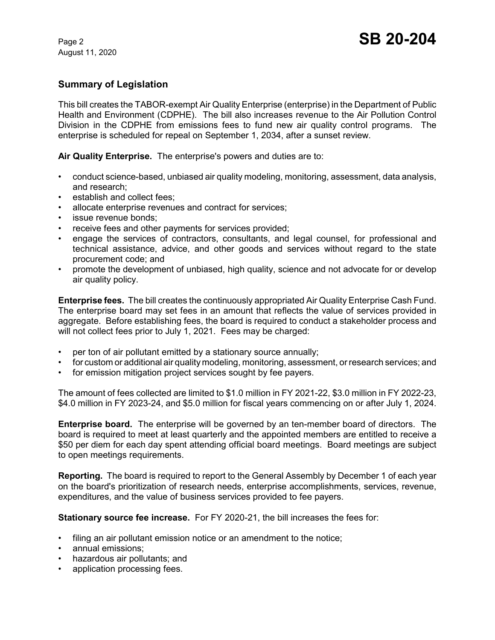August 11, 2020

# **Summary of Legislation**

This bill creates the TABOR-exempt Air Quality Enterprise (enterprise) in the Department of Public Health and Environment (CDPHE). The bill also increases revenue to the Air Pollution Control Division in the CDPHE from emissions fees to fund new air quality control programs. The enterprise is scheduled for repeal on September 1, 2034, after a sunset review.

**Air Quality Enterprise.** The enterprise's powers and duties are to:

- conduct science-based, unbiased air quality modeling, monitoring, assessment, data analysis, and research;
- establish and collect fees;
- allocate enterprise revenues and contract for services;
- issue revenue bonds;
- receive fees and other payments for services provided;
- engage the services of contractors, consultants, and legal counsel, for professional and technical assistance, advice, and other goods and services without regard to the state procurement code; and
- promote the development of unbiased, high quality, science and not advocate for or develop air quality policy.

**Enterprise fees.** The bill creates the continuously appropriated Air Quality Enterprise Cash Fund. The enterprise board may set fees in an amount that reflects the value of services provided in aggregate. Before establishing fees, the board is required to conduct a stakeholder process and will not collect fees prior to July 1, 2021. Fees may be charged:

- per ton of air pollutant emitted by a stationary source annually;
- for custom or additional air quality modeling, monitoring, assessment, or research services; and
- for emission mitigation project services sought by fee payers.

The amount of fees collected are limited to \$1.0 million in FY 2021-22, \$3.0 million in FY 2022-23, \$4.0 million in FY 2023-24, and \$5.0 million for fiscal years commencing on or after July 1, 2024.

**Enterprise board.** The enterprise will be governed by an ten-member board of directors. The board is required to meet at least quarterly and the appointed members are entitled to receive a \$50 per diem for each day spent attending official board meetings. Board meetings are subject to open meetings requirements.

**Reporting.** The board is required to report to the General Assembly by December 1 of each year on the board's prioritization of research needs, enterprise accomplishments, services, revenue, expenditures, and the value of business services provided to fee payers.

**Stationary source fee increase.** For FY 2020-21, the bill increases the fees for:

- filing an air pollutant emission notice or an amendment to the notice;
- annual emissions;
- hazardous air pollutants; and
- application processing fees.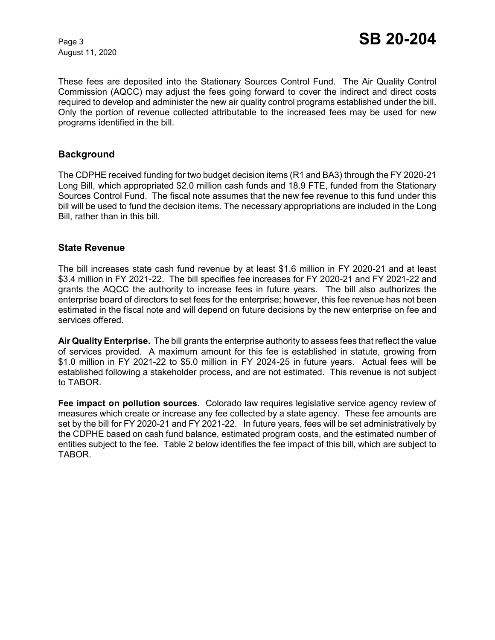August 11, 2020

These fees are deposited into the Stationary Sources Control Fund. The Air Quality Control Commission (AQCC) may adjust the fees going forward to cover the indirect and direct costs required to develop and administer the new air quality control programs established under the bill. Only the portion of revenue collected attributable to the increased fees may be used for new programs identified in the bill.

### **Background**

The CDPHE received funding for two budget decision items (R1 and BA3) through the FY 2020-21 Long Bill, which appropriated \$2.0 million cash funds and 18.9 FTE, funded from the Stationary Sources Control Fund. The fiscal note assumes that the new fee revenue to this fund under this bill will be used to fund the decision items. The necessary appropriations are included in the Long Bill, rather than in this bill.

### **State Revenue**

The bill increases state cash fund revenue by at least \$1.6 million in FY 2020-21 and at least \$3.4 million in FY 2021-22. The bill specifies fee increases for FY 2020-21 and FY 2021-22 and grants the AQCC the authority to increase fees in future years. The bill also authorizes the enterprise board of directors to set fees for the enterprise; however, this fee revenue has not been estimated in the fiscal note and will depend on future decisions by the new enterprise on fee and services offered.

**Air Quality Enterprise.** The bill grants the enterprise authority to assess fees that reflect the value of services provided. A maximum amount for this fee is established in statute, growing from \$1.0 million in FY 2021-22 to \$5.0 million in FY 2024-25 in future years. Actual fees will be established following a stakeholder process, and are not estimated. This revenue is not subject to TABOR.

**Fee impact on pollution sources**. Colorado law requires legislative service agency review of measures which create or increase any fee collected by a state agency. These fee amounts are set by the bill for FY 2020-21 and FY 2021-22. In future years, fees will be set administratively by the CDPHE based on cash fund balance, estimated program costs, and the estimated number of entities subject to the fee. Table 2 below identifies the fee impact of this bill, which are subject to TABOR.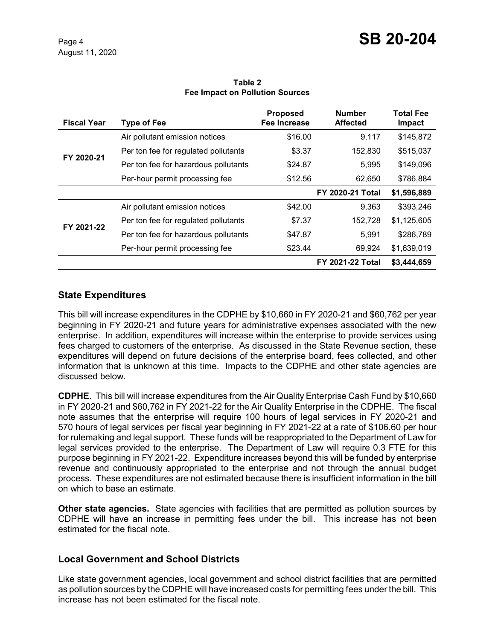#### **Table 2 Fee Impact on Pollution Sources**

| <b>Fiscal Year</b> | Type of Fee                          | <b>Proposed</b><br>Fee Increase | <b>Number</b><br><b>Affected</b> | <b>Total Fee</b><br>Impact |
|--------------------|--------------------------------------|---------------------------------|----------------------------------|----------------------------|
| FY 2020-21         | Air pollutant emission notices       | \$16.00                         | 9,117                            | \$145,872                  |
|                    | Per ton fee for regulated pollutants | \$3.37                          | 152,830                          | \$515,037                  |
|                    | Per ton fee for hazardous pollutants | \$24.87                         | 5,995                            | \$149,096                  |
|                    | Per-hour permit processing fee       | \$12.56                         | 62,650                           | \$786,884                  |
|                    |                                      |                                 | <b>FY 2020-21 Total</b>          | \$1,596,889                |
| FY 2021-22         | Air pollutant emission notices       | \$42.00                         | 9,363                            | \$393,246                  |
|                    | Per ton fee for regulated pollutants | \$7.37                          | 152,728                          | \$1,125,605                |
|                    | Per ton fee for hazardous pollutants | \$47.87                         | 5,991                            | \$286,789                  |
|                    | Per-hour permit processing fee       | \$23.44                         | 69,924                           | \$1,639,019                |
|                    |                                      |                                 | <b>FY 2021-22 Total</b>          | \$3,444,659                |

# **State Expenditures**

This bill will increase expenditures in the CDPHE by \$10,660 in FY 2020-21 and \$60,762 per year beginning in FY 2020-21 and future years for administrative expenses associated with the new enterprise. In addition, expenditures will increase within the enterprise to provide services using fees charged to customers of the enterprise. As discussed in the State Revenue section, these expenditures will depend on future decisions of the enterprise board, fees collected, and other information that is unknown at this time. Impacts to the CDPHE and other state agencies are discussed below.

**CDPHE.** This bill will increase expenditures from the Air Quality Enterprise Cash Fund by \$10,660 in FY 2020-21 and \$60,762 in FY 2021-22 for the Air Quality Enterprise in the CDPHE. The fiscal note assumes that the enterprise will require 100 hours of legal services in FY 2020-21 and 570 hours of legal services per fiscal year beginning in FY 2021-22 at a rate of \$106.60 per hour for rulemaking and legal support. These funds will be reappropriated to the Department of Law for legal services provided to the enterprise. The Department of Law will require 0.3 FTE for this purpose beginning in FY 2021-22. Expenditure increases beyond this will be funded by enterprise revenue and continuously appropriated to the enterprise and not through the annual budget process. These expenditures are not estimated because there is insufficient information in the bill on which to base an estimate.

**Other state agencies.** State agencies with facilities that are permitted as pollution sources by CDPHE will have an increase in permitting fees under the bill. This increase has not been estimated for the fiscal note.

# **Local Government and School Districts**

Like state government agencies, local government and school district facilities that are permitted as pollution sources by the CDPHE will have increased costs for permitting fees under the bill. This increase has not been estimated for the fiscal note.